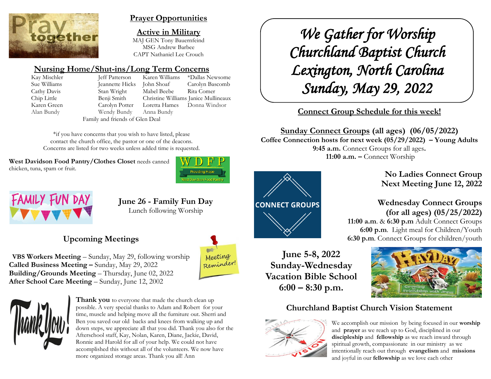

## **Prayer Opportunities**

**Active in Military** MAJ GEN Tony Bauernfeind MSG Andrew Barbee CAPT Nathaniel Lee Crouch

# **Nursing Home/Shut-ins/Long Term Concerns**

Kay Mischler Jeff Patterson Karen Williams \*Dallas Newsome Sue Williams Jeannette Hicks John Shoaf Carolyn Bascomb Cathy Davis Stan Wright Mabel Beebe Rita Comer Chip Little Benji Smith Christine Williams Janice Mullineaux Karen Green Carolyn Potter Loretta Hames Donna Windsor Alan Bundy Wendy Bundy Anna Bundy Family and friends of Glen Deal

\*if you have concerns that you wish to have listed, please contact the church office, the pastor or one of the deacons. Concerns are listed for two weeks unless added time is requested.

West Davidson Food Pantry/Clothes Closet needs canned chicken, tuna, spam or fruit.





**June 26 - Family Fun Day** Lunch following Worship

# **Upcoming Meetings**

**VBS Workers Meeting** – Sunday, May 29, following worship **Called Business Meeting –** Sunday, May 29, 2022 **Building/Grounds Meeting** – Thursday, June 02, 2022 **After School Care Meeting** – Sunday, June 12, 2002





**Thank you** to everyone that made the church clean up possible. A very special thanks to Adam and Robert for your time, muscle and helping move all the furniture out. Sherri and Ben you saved our old backs and knees from walking up and down steps, we appreciate all that you did. Thank you also for the Afterschool staff, Kay, Nolan, Karen, Diane, Jackie, David, Ronnie and Harold for all of your help. We could not have accomplished this without all of the volunteers. We now have more organized storage areas. Thank you all! Ann

*We Gather for Worship Churchland Baptist Church Lexington, North Carolina Sunday, May 29, 2022* 

# **Connect Group Schedule for this week!**

**Sunday Connect Groups (all ages) (06/05/2022)**

**Coffee Connection hosts for next week (05/29/2022) – Young Adults 9:45 a.m.** Connect Groups for all ages**. 11:00 a.m. –** Connect Worship



**No Ladies Connect Group Next Meeting June 12, 2022**

# **Wednesday Connect Groups (for all ages) (05/25/2022)**

 **11:00 a.m**. & **6:30 p.m** Adult Connect Groups  **6:00 p.m**. Light meal for Children/Youth **6:30 p.m**. Connect Groups for children/youth

**June 5-8, 2022 Sunday-Wednesday Vacation Bible School 6:00 – 8:30 p.m.**



# **Churchland Baptist Church Vision Statement**



We accomplish our mission by being focused in our **worship** and **prayer** as we reach up to God, disciplined in our **discipleship** and **fellowship** as we reach inward through spiritual growth, compassionate in our ministry as we intentionally reach out through **evangelism** and **missions** and joyful in our **fellowship** as we love each other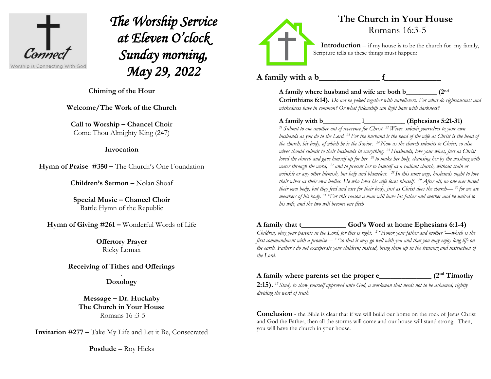

*The Worship Service at Eleven O'clock Sunday morning, May 29, 2022* 

**Chiming of the Hour**

**Welcome/The Work of the Church**

**Call to Worship – Chancel Choir** Come Thou Almighty King (247)

#### **Invocation**

**Hymn of Praise #350 –** The Church's One Foundation

**Children's Sermon –** Nolan Shoaf

**Special Music – Chancel Choir** Battle Hymn of the Republic

**Hymn of Giving #261 –** Wonderful Words of Life

**Offertory Prayer**  Ricky Lomax

**Receiving of Tithes and Offerings**

. **Doxology**

**Message – Dr. Huckaby The Church in Your House** Romans 16 :3-5

**Invitation #277 –** Take My Life and Let it Be, Consecrated

**Postlude** – Roy Hicks



# **The Church in Your House** Romans 16:3-5

**Introduction** – if my house is to be the church for my family, Scripture tells us these things must happen:

A family with a b f

**A family where husband and wife are both b\_\_\_\_\_\_\_\_\_ (2nd**

**Corinthians 6:14).** *Do not be yoked together with unbelievers. For what do righteousness and wickedness have in common? Or what fellowship can light have with darkness?*

A family with b 1 (Ephesians 5:21-31)

*<sup>21</sup> Submit to one another out of reverence for Christ. <sup>22</sup> Wives, submit yourselves to your own husbands as you do to the Lord. <sup>23</sup> For the husband is the head of the wife as Christ is the head of the church, his body, of which he is the Savior. <sup>24</sup>Now as the church submits to Christ, so also wives should submit to their husbands in everything.<sup>25</sup>Husbands, love your wives, just as Christ loved the church and gave himself up for her <sup>26</sup> to make her holy, cleansing her by the washing with water through the word, <sup>27</sup> and to present her to himself as a radiant church, without stain or wrinkle or any other blemish, but holy and blameless. <sup>28</sup> In this same way, husbands ought to love their wives as their own bodies. He who loves his wife loves himself. <sup>29</sup>After all, no one ever hated their own body, but they feed and care for their body, just as Christ does the church— <sup>30</sup> for we are members of his body. <sup>31</sup> "For this reason a man will leave his father and mother and be united to his wife, and the two will become one flesh*

# **A family that t\_\_\_\_\_\_\_\_\_\_\_\_ God's Word at home Ephesians 6:1-4)**

*Children, obey your parents in the Lord, for this is right. <sup>2</sup> "Honor your father and mother"—which is the first commandment with a promise— <sup>3</sup> "so that it may go well with you and that you may enjoy long life on the earth. Father's do not exasperate your children; instead, bring them up in the training and instruction of the Lord.*

#### **A family where parents set the proper e\_\_\_\_\_\_\_\_\_\_\_\_\_\_ (2nd Timothy**

**2:15).** *<sup>15</sup> Study to show yourself approved unto God, a workman that needs not to be ashamed, rightly dividing the word of truth.*

**Conclusion** - the Bible is clear that if we will build our home on the rock of Jesus Christ and God the Father, then all the storms will come and our house will stand strong. Then, you will have the church in your house.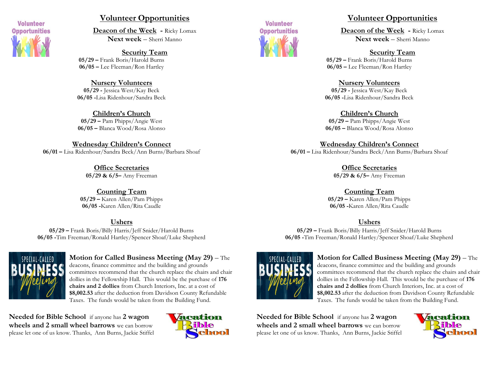

### **Volunteer Opportunities**

**Deacon of the Week -** Ricky Lomax **Next week** – Sherri Manno

**Security Team 05/29 –** Frank Boris/Harold Burns **06/05 –** Lee Fleeman/Ron Hartley

**Nursery Volunteers 05/29 -** Jessica West/Kay Beck **06/05 -**Lisa Ridenhour/Sandra Beck

**Children's Church 05/29 –** Pam Phipps/Angie West **06/05 –** Blanca Wood/Rosa Alonso

**Wednesday Children's Connect 06/01 –** Lisa Ridenhour/Sandra Beck/Ann Burns/Barbara Shoaf

> **Office Secretaries 05/29 & 6/5–** Amy Freeman

**Counting Team 05/29 –** Karen Allen/Pam Phipps **06/05 -**Karen Allen/Rita Caudle

#### **Ushers**

**05/29 –** Frank Boris/Billy Harris/Jeff Snider/Harold Burns **06/05 -**Tim Freeman/Ronald Hartley/Spencer Shoaf/Luke Shepherd



**Motion for Called Business Meeting (May 29)** – The

deacons, finance committee and the building and grounds committees recommend that the church replace the chairs and chair dollies in the Fellowship Hall. This would be the purchase of **176 chairs and 2 dollies** from Church Interiors, Inc. at a cost of **\$8,002.53** after the deduction from Davidson County Refundable Taxes. The funds would be taken from the Building Fund.

**Needed for Bible School** if anyone has **2 wagon wheels and 2 small wheel barrows** we can borrow please let one of us know. Thanks, Ann Burns, Jackie Stiffel





### **Volunteer Opportunities**

**Deacon of the Week -** Ricky Lomax **Next week** – Sherri Manno

**Security Team 05/29 –** Frank Boris/Harold Burns **06/05 –** Lee Fleeman/Ron Hartley

**Nursery Volunteers 05/29 -** Jessica West/Kay Beck **06/05 -**Lisa Ridenhour/Sandra Beck

**Children's Church 05/29 –** Pam Phipps/Angie West **06/05 –** Blanca Wood/Rosa Alonso

**Wednesday Children's Connect 06/01 –** Lisa Ridenhour/Sandra Beck/Ann Burns/Barbara Shoaf

> **Office Secretaries 05/29 & 6/5–** Amy Freeman

**Counting Team 05/29 –** Karen Allen/Pam Phipps **06/05 -**Karen Allen/Rita Caudle

### **Ushers**

**05/29 –** Frank Boris/Billy Harris/Jeff Snider/Harold Burns **06/05 -**Tim Freeman/Ronald Hartley/Spencer Shoaf/Luke Shepherd



### **Motion for Called Business Meeting (May 29)** – The

deacons, finance committee and the building and grounds committees recommend that the church replace the chairs and chair dollies in the Fellowship Hall. This would be the purchase of **176 chairs and 2 dollies** from Church Interiors, Inc. at a cost of **\$8,002.53** after the deduction from Davidson County Refundable Taxes. The funds would be taken from the Building Fund.

**Needed for Bible School** if anyone has **2 wagon wheels and 2 small wheel barrows** we can borrow please let one of us know. Thanks, Ann Burns, Jackie Stiffel